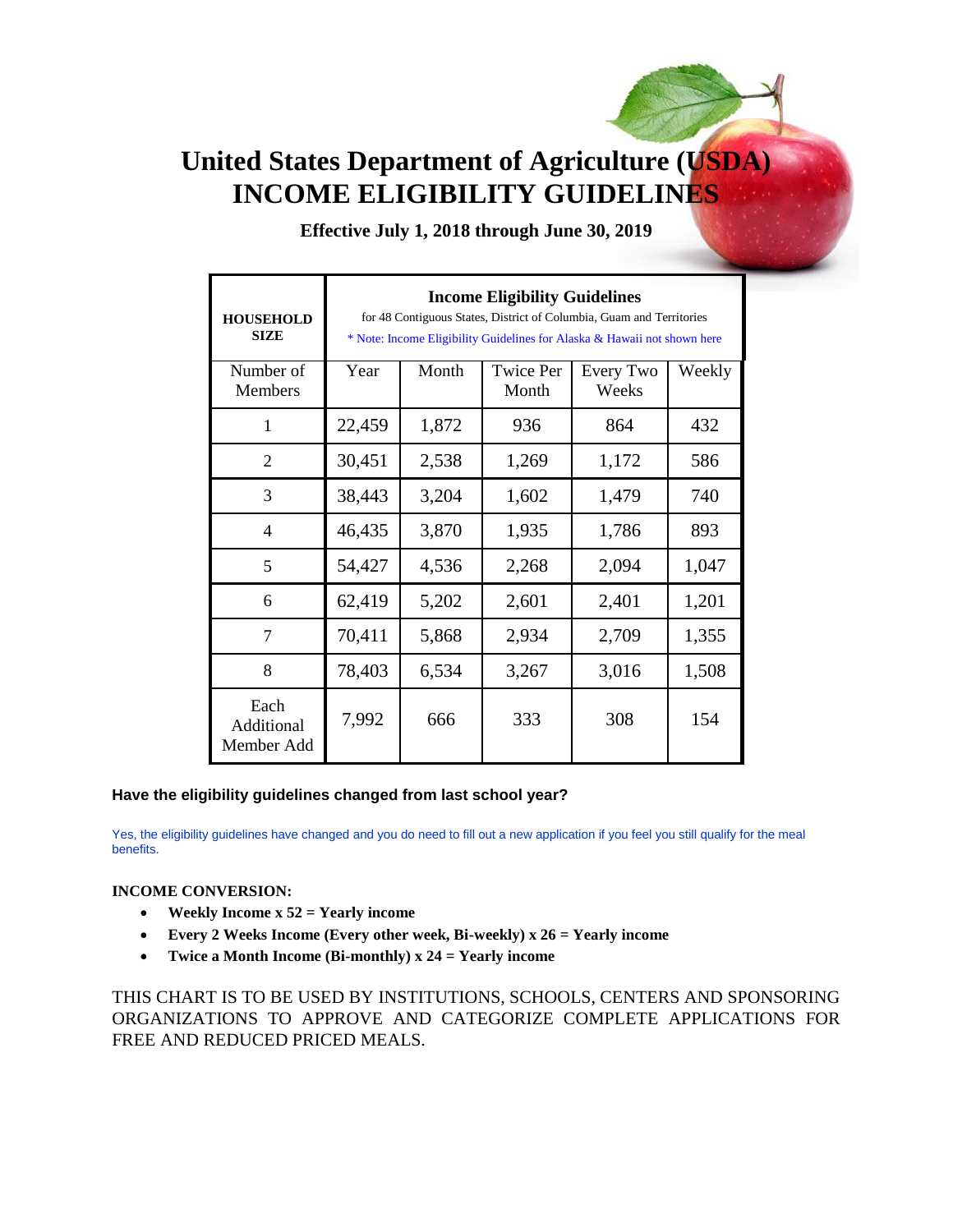# **United States Department of Agriculture (USDA) INCOME ELIGIBILITY GUIDELINES**

**Effective July 1, 2018 through June 30, 2019**

| <b>HOUSEHOLD</b><br><b>SIZE</b>  | <b>Income Eligibility Guidelines</b><br>for 48 Contiguous States, District of Columbia, Guam and Territories<br>* Note: Income Eligibility Guidelines for Alaska & Hawaii not shown here |       |                           |                    |        |  |  |
|----------------------------------|------------------------------------------------------------------------------------------------------------------------------------------------------------------------------------------|-------|---------------------------|--------------------|--------|--|--|
| Number of<br>Members             | Year                                                                                                                                                                                     | Month | <b>Twice Per</b><br>Month | Every Two<br>Weeks | Weekly |  |  |
| 1                                | 22,459                                                                                                                                                                                   | 1,872 | 936                       | 864                | 432    |  |  |
| $\overline{2}$                   | 30,451                                                                                                                                                                                   | 2,538 | 1,269                     | 1,172              | 586    |  |  |
| 3                                | 38,443                                                                                                                                                                                   | 3,204 | 1,602                     | 1,479              | 740    |  |  |
| $\overline{4}$                   | 46,435                                                                                                                                                                                   | 3,870 | 1,935                     | 1,786              | 893    |  |  |
| 5                                | 54,427                                                                                                                                                                                   | 4,536 | 2,268                     | 2,094              | 1,047  |  |  |
| 6                                | 62,419                                                                                                                                                                                   | 5,202 | 2,601                     | 2,401              | 1,201  |  |  |
| 7                                | 70,411                                                                                                                                                                                   | 5,868 | 2,934                     | 2,709              | 1,355  |  |  |
| 8                                | 78,403                                                                                                                                                                                   | 6,534 | 3,267                     | 3,016              | 1,508  |  |  |
| Each<br>Additional<br>Member Add | 7,992                                                                                                                                                                                    | 666   | 333                       | 308                | 154    |  |  |

## **Have the eligibility guidelines changed from last school year?**

Yes, the eligibility guidelines have changed and you do need to fill out a new application if you feel you still qualify for the meal benefits.

## **INCOME CONVERSION:**

- **Weekly Income x 52 = Yearly income**
- **Every 2 Weeks Income (Every other week, Bi-weekly) x 26 = Yearly income**
- **Twice a Month Income (Bi-monthly) x 24 = Yearly income**

THIS CHART IS TO BE USED BY INSTITUTIONS, SCHOOLS, CENTERS AND SPONSORING ORGANIZATIONS TO APPROVE AND CATEGORIZE COMPLETE APPLICATIONS FOR FREE AND REDUCED PRICED MEALS.